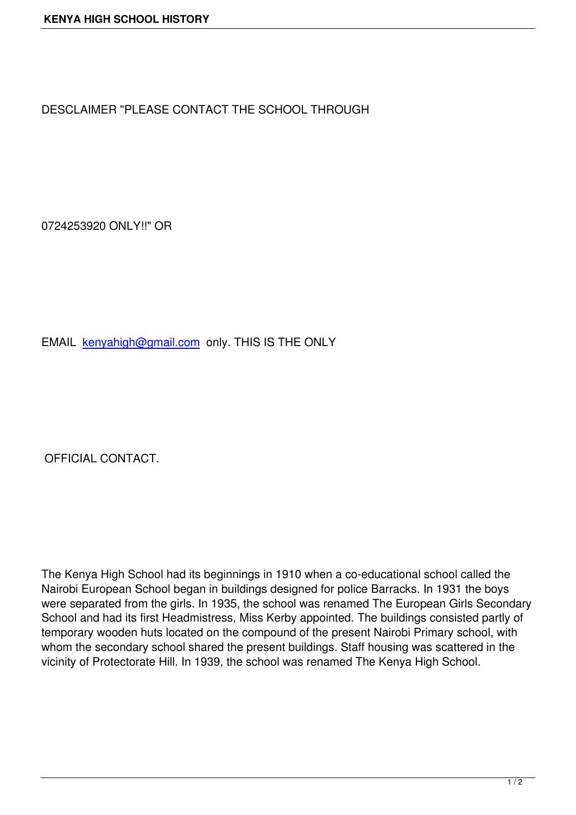DESCLAIMER "PLEASE CONTACT THE SCHOOL THROUGH

0724253920 ONLY!!" OR

EMAIL kenyahigh@gmail.com only. THIS IS THE ONLY

OFFICIAL CONTACT.

The Kenya High School had its beginnings in 1910 when a co-educational school called the Nairobi European School began in buildings designed for police Barracks. In 1931 the boys were separated from the girls. In 1935, the school was renamed The European Girls Secondary School and had its first Headmistress, Miss Kerby appointed. The buildings consisted partly of temporary wooden huts located on the compound of the present Nairobi Primary school, with whom the secondary school shared the present buildings. Staff housing was scattered in the vicinity of Protectorate Hill. In 1939, the school was renamed The Kenya High School.